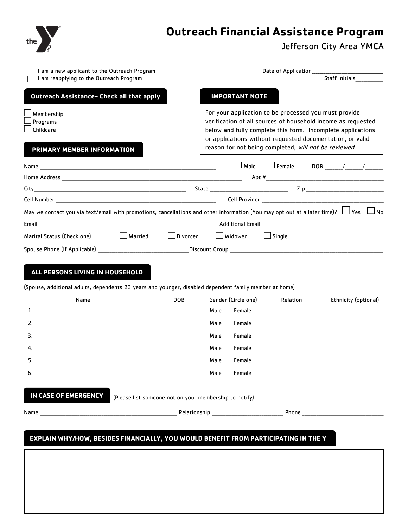

# **Outreach Financial Assistance Program**

Jefferson City Area YMCA

| I am a new applicant to the Outreach Program                                                                                                   | Date of Application_                                                                                                                           |                                                                                                                                                                                                                                                                                                            |                |                      |
|------------------------------------------------------------------------------------------------------------------------------------------------|------------------------------------------------------------------------------------------------------------------------------------------------|------------------------------------------------------------------------------------------------------------------------------------------------------------------------------------------------------------------------------------------------------------------------------------------------------------|----------------|----------------------|
| I am reapplying to the Outreach Program                                                                                                        |                                                                                                                                                |                                                                                                                                                                                                                                                                                                            | Staff Initials |                      |
| Outreach Assistance- Check all that apply                                                                                                      |                                                                                                                                                | <b>IMPORTANT NOTE</b>                                                                                                                                                                                                                                                                                      |                |                      |
| $\Box$ Membership<br>⊿ Programs<br>$\Box$ Childcare                                                                                            |                                                                                                                                                | For your application to be processed you must provide<br>verification of all sources of household income as requested<br>below and fully complete this form. Incomplete applications<br>or applications without requested documentation, or valid<br>reason for not being completed, will not be reviewed. |                |                      |
| PRIMARY MEMBER INFORMATION                                                                                                                     |                                                                                                                                                |                                                                                                                                                                                                                                                                                                            |                |                      |
|                                                                                                                                                |                                                                                                                                                |                                                                                                                                                                                                                                                                                                            |                |                      |
|                                                                                                                                                |                                                                                                                                                |                                                                                                                                                                                                                                                                                                            |                |                      |
|                                                                                                                                                | Cell Provider Number New York Contract the Cell Provider Cell Provider Number New York Cell Provider Number New York Cell Provider Number 2004 |                                                                                                                                                                                                                                                                                                            |                |                      |
| May we contact you via text/email with promotions, cancellations and other information (You may opt out at a later time)? $\Box$ Yes $\Box$ No |                                                                                                                                                |                                                                                                                                                                                                                                                                                                            |                |                      |
|                                                                                                                                                |                                                                                                                                                |                                                                                                                                                                                                                                                                                                            |                |                      |
| $\Box$ Married<br>Marital Status (Check one)                                                                                                   |                                                                                                                                                | Divorced LJ Widowed                                                                                                                                                                                                                                                                                        | $\Box$ Single  |                      |
|                                                                                                                                                |                                                                                                                                                |                                                                                                                                                                                                                                                                                                            |                |                      |
| ALL PERSONS LIVING IN HOUSEHOLD<br>(Spouse, additional adults, dependents 23 years and younger, disabled dependent family member at home)      |                                                                                                                                                |                                                                                                                                                                                                                                                                                                            |                |                      |
| Name                                                                                                                                           | <b>DOB</b>                                                                                                                                     | Gender (Circle one)                                                                                                                                                                                                                                                                                        | Relation       | Ethnicity (optional) |
| $\mathbf{1}$ .                                                                                                                                 |                                                                                                                                                | Female<br>Male                                                                                                                                                                                                                                                                                             |                |                      |
| 2.                                                                                                                                             |                                                                                                                                                | Female<br>Male                                                                                                                                                                                                                                                                                             |                |                      |
| 3.                                                                                                                                             |                                                                                                                                                | Male<br>Female                                                                                                                                                                                                                                                                                             |                |                      |

**IN CASE OF EMERGENCY**

(Please list someone not on your membership to notify)

| × | ×<br>٠ |
|---|--------|
|---|--------|

\_\_ Relationship \_\_\_\_\_\_\_\_\_\_\_\_\_\_\_\_\_\_\_\_\_\_\_\_\_\_\_\_\_\_\_\_\_\_\_ Phone \_

4. Male Female 5. Male Female 6. Male Female

white the 25th day of the month to be affected for the month to be affected for the forthcoming month.

# **EXPLAIN WHY/HOW, BESIDES FINANCIALLY, YOU WOULD BENEFIT FROM PARTICIPATING IN THE Y**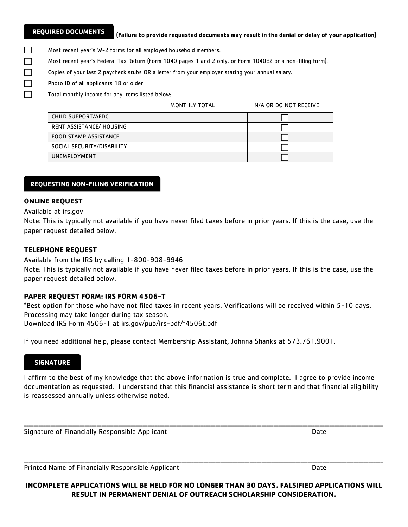П П П П П

#### **(Failure to provide requested documents may result in the denial or delay of your application)**

Most recent year's W-2 forms for all employed household members.

- Most recent year's Federal Tax Return (Form 1040 pages 1 and 2 only; or Form 1040EZ or a non-filing form).
- Copies of your last 2 paycheck stubs OR a letter from your employer stating your annual salary.
- Photo ID of all applicants 18 or older

Total monthly income for any items listed below:

MONTHLY TOTAL N/A OR DO NOT RECEIVE

| CHILD SUPPORT/AFDC           |  |
|------------------------------|--|
| RENT ASSISTANCE/ HOUSING     |  |
| <b>FOOD STAMP ASSISTANCE</b> |  |
| SOCIAL SECURITY/DISABILITY   |  |
| <b>UNEMPLOYMENT</b>          |  |

#### month. **REQUESTING NON-FILING VERIFICATION**

### **ONLINE REQUEST**

#### Available at irs.gov

Note: This is typically not available if you have never filed taxes before in prior years. If this is the case, use the paper request detailed below.

#### **TELEPHONE REQUEST**

Available from the IRS by calling 1-800-908-9946

Note: This is typically not available if you have never filed taxes before in prior years. If this is the case, use the paper request detailed below.

#### **PAPER REQUEST FORM: IRS FORM 4506-T**

\*Best option for those who have not filed taxes in recent years. Verifications will be received within 5-10 days. Processing may take longer during tax season. Download IRS Form 4506-T at irs.gov/pub/irs-pdf/f4506t.pdf

If you need additional help, please contact Membership Assistant, Johnna Shanks at 573.761.9001.

# **SIGNATURE**

I affirm to the best of my knowledge that the above information is true and complete. I agree to provide income documentation as requested. I understand that this financial assistance is short term and that financial eligibility is reassessed annually unless otherwise noted.

\_\_\_\_\_\_\_\_\_\_\_\_\_\_\_\_\_\_\_\_\_\_\_\_\_\_\_\_\_\_\_\_\_\_\_\_\_\_\_\_\_\_\_\_\_\_\_\_\_\_\_\_\_\_\_\_\_\_\_\_\_\_\_\_\_\_\_\_\_\_\_\_\_\_\_\_\_\_\_\_\_\_\_\_\_\_\_\_\_\_\_\_\_\_\_\_\_\_\_\_\_\_\_\_\_\_\_\_\_\_\_\_\_\_\_\_\_\_\_\_\_\_\_\_\_\_\_\_\_\_\_\_\_\_\_\_\_\_\_\_\_\_\_\_\_\_\_\_

Signature of Financially Responsible Applicant Date Date Date Date

Printed Name of Financially Responsible Applicant **Date** Date Date

**INCOMPLETE APPLICATIONS WILL BE HELD FOR NO LONGER THAN 30 DAYS. FALSIFIED APPLICATIONS WILL RESULT IN PERMANENT DENIAL OF OUTREACH SCHOLARSHIP CONSIDERATION.**

\_\_\_\_\_\_\_\_\_\_\_\_\_\_\_\_\_\_\_\_\_\_\_\_\_\_\_\_\_\_\_\_\_\_\_\_\_\_\_\_\_\_\_\_\_\_\_\_\_\_\_\_\_\_\_\_\_\_\_\_\_\_\_\_\_\_\_\_\_\_\_\_\_\_\_\_\_\_\_\_\_\_\_\_\_\_\_\_\_\_\_\_\_\_\_\_\_\_\_\_\_\_\_\_\_\_\_\_\_\_\_\_\_\_\_\_\_\_\_\_\_\_\_\_\_\_\_\_\_\_\_\_\_\_\_\_\_\_\_\_\_\_\_\_\_\_\_\_